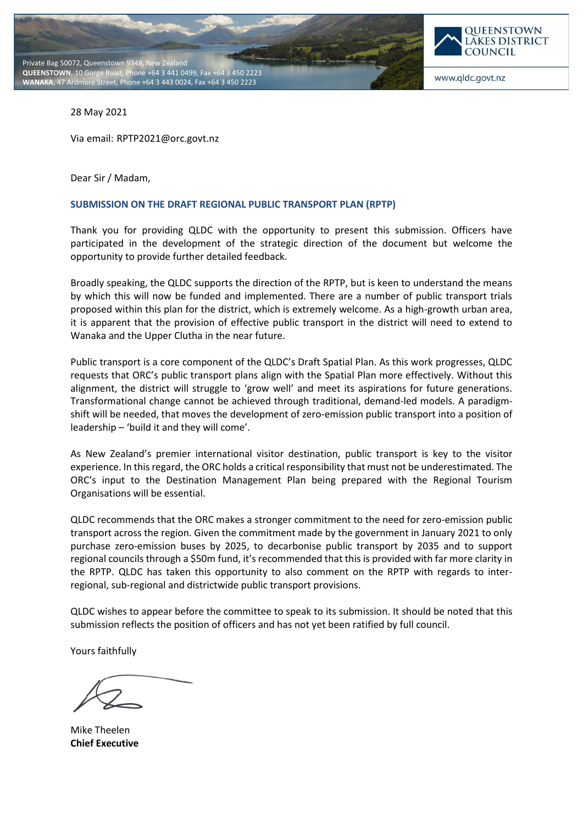



www.qldc.govt.nz

28 May 2021

Via email: RPTP2021@orc.govt.nz

Dear Sir / Madam,

#### **SUBMISSION ON THE DRAFT REGIONAL PUBLIC TRANSPORT PLAN (RPTP)**

Thank you for providing QLDC with the opportunity to present this submission. Officers have participated in the development of the strategic direction of the document but welcome the opportunity to provide further detailed feedback.

Broadly speaking, the QLDC supports the direction of the RPTP, but is keen to understand the means by which this will now be funded and implemented. There are a number of public transport trials proposed within this plan for the district, which is extremely welcome. As a high-growth urban area, it is apparent that the provision of effective public transport in the district will need to extend to Wanaka and the Upper Clutha in the near future.

Public transport is a core component of the QLDC's Draft Spatial Plan. As this work progresses, QLDC requests that ORC's public transport plans align with the Spatial Plan more effectively. Without this alignment, the district will struggle to 'grow well' and meet its aspirations for future generations. Transformational change cannot be achieved through traditional, demand-led models. A paradigmshift will be needed, that moves the development of zero-emission public transport into a position of leadership – 'build it and they will come'.

As New Zealand's premier international visitor destination, public transport is key to the visitor experience. In this regard, the ORC holds a critical responsibility that must not be underestimated. The ORC's input to the Destination Management Plan being prepared with the Regional Tourism Organisations will be essential.

QLDC recommends that the ORC makes a stronger commitment to the need for zero-emission public transport across the region. Given the commitment made by the government in January 2021 to only purchase zero-emission buses by 2025, to decarbonise public transport by 2035 and to support regional councils through a \$50m fund, it's recommended that this is provided with far more clarity in the RPTP. QLDC has taken this opportunity to also comment on the RPTP with regards to interregional, sub-regional and districtwide public transport provisions.

QLDC wishes to appear before the committee to speak to its submission. It should be noted that this submission reflects the position of officers and has not yet been ratified by full council.

Yours faithfully

Mike Theelen **Chief Executive**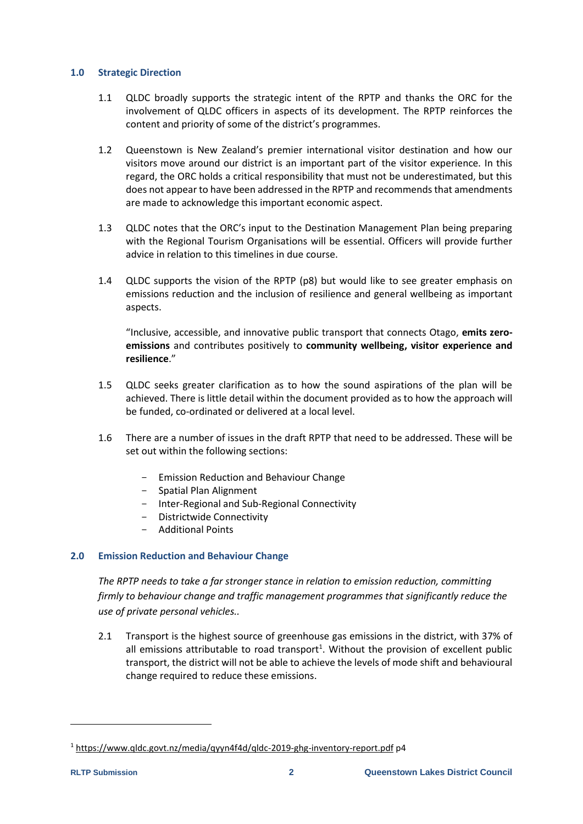### **1.0 Strategic Direction**

- 1.1 QLDC broadly supports the strategic intent of the RPTP and thanks the ORC for the involvement of QLDC officers in aspects of its development. The RPTP reinforces the content and priority of some of the district's programmes.
- 1.2 Queenstown is New Zealand's premier international visitor destination and how our visitors move around our district is an important part of the visitor experience. In this regard, the ORC holds a critical responsibility that must not be underestimated, but this does not appear to have been addressed in the RPTP and recommends that amendments are made to acknowledge this important economic aspect.
- 1.3 QLDC notes that the ORC's input to the Destination Management Plan being preparing with the Regional Tourism Organisations will be essential. Officers will provide further advice in relation to this timelines in due course.
- 1.4 QLDC supports the vision of the RPTP (p8) but would like to see greater emphasis on emissions reduction and the inclusion of resilience and general wellbeing as important aspects.

"Inclusive, accessible, and innovative public transport that connects Otago, **emits zeroemissions** and contributes positively to **community wellbeing, visitor experience and resilience**."

- 1.5 QLDC seeks greater clarification as to how the sound aspirations of the plan will be achieved. There is little detail within the document provided as to how the approach will be funded, co-ordinated or delivered at a local level.
- 1.6 There are a number of issues in the draft RPTP that need to be addressed. These will be set out within the following sections:
	- Emission Reduction and Behaviour Change
	- Spatial Plan Alignment
	- Inter-Regional and Sub-Regional Connectivity
	- Districtwide Connectivity
	- Additional Points

# **2.0 Emission Reduction and Behaviour Change**

*The RPTP needs to take a far stronger stance in relation to emission reduction, committing firmly to behaviour change and traffic management programmes that significantly reduce the use of private personal vehicles..*

2.1 Transport is the highest source of greenhouse gas emissions in the district, with 37% of all emissions attributable to road transport<sup>1</sup>. Without the provision of excellent public transport, the district will not be able to achieve the levels of mode shift and behavioural change required to reduce these emissions.

<sup>1</sup> <https://www.qldc.govt.nz/media/qyyn4f4d/qldc-2019-ghg-inventory-report.pdf> p4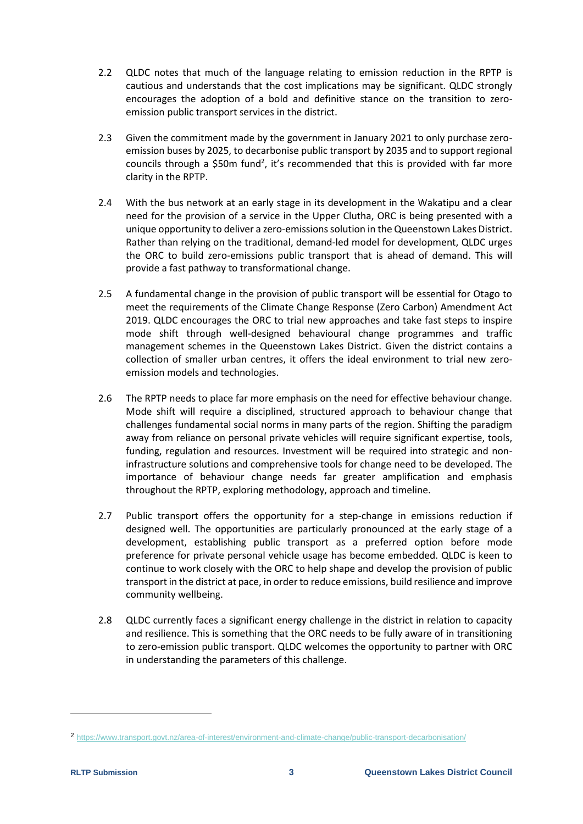- 2.2 QLDC notes that much of the language relating to emission reduction in the RPTP is cautious and understands that the cost implications may be significant. QLDC strongly encourages the adoption of a bold and definitive stance on the transition to zeroemission public transport services in the district.
- 2.3 Given the commitment made by the government in January 2021 to only purchase zeroemission buses by 2025, to decarbonise public transport by 2035 and to support regional councils through a \$50m fund<sup>2</sup>, it's recommended that this is provided with far more clarity in the RPTP.
- 2.4 With the bus network at an early stage in its development in the Wakatipu and a clear need for the provision of a service in the Upper Clutha, ORC is being presented with a unique opportunity to deliver a zero-emissions solution in the Queenstown Lakes District. Rather than relying on the traditional, demand-led model for development, QLDC urges the ORC to build zero-emissions public transport that is ahead of demand. This will provide a fast pathway to transformational change.
- 2.5 A fundamental change in the provision of public transport will be essential for Otago to meet the requirements of the Climate Change Response (Zero Carbon) Amendment Act 2019. QLDC encourages the ORC to trial new approaches and take fast steps to inspire mode shift through well-designed behavioural change programmes and traffic management schemes in the Queenstown Lakes District. Given the district contains a collection of smaller urban centres, it offers the ideal environment to trial new zeroemission models and technologies.
- 2.6 The RPTP needs to place far more emphasis on the need for effective behaviour change. Mode shift will require a disciplined, structured approach to behaviour change that challenges fundamental social norms in many parts of the region. Shifting the paradigm away from reliance on personal private vehicles will require significant expertise, tools, funding, regulation and resources. Investment will be required into strategic and noninfrastructure solutions and comprehensive tools for change need to be developed. The importance of behaviour change needs far greater amplification and emphasis throughout the RPTP, exploring methodology, approach and timeline.
- 2.7 Public transport offers the opportunity for a step-change in emissions reduction if designed well. The opportunities are particularly pronounced at the early stage of a development, establishing public transport as a preferred option before mode preference for private personal vehicle usage has become embedded. QLDC is keen to continue to work closely with the ORC to help shape and develop the provision of public transport in the district at pace, in order to reduce emissions, build resilience and improve community wellbeing.
- 2.8 QLDC currently faces a significant energy challenge in the district in relation to capacity and resilience. This is something that the ORC needs to be fully aware of in transitioning to zero-emission public transport. QLDC welcomes the opportunity to partner with ORC in understanding the parameters of this challenge.

<sup>2</sup> <https://www.transport.govt.nz/area-of-interest/environment-and-climate-change/public-transport-decarbonisation/>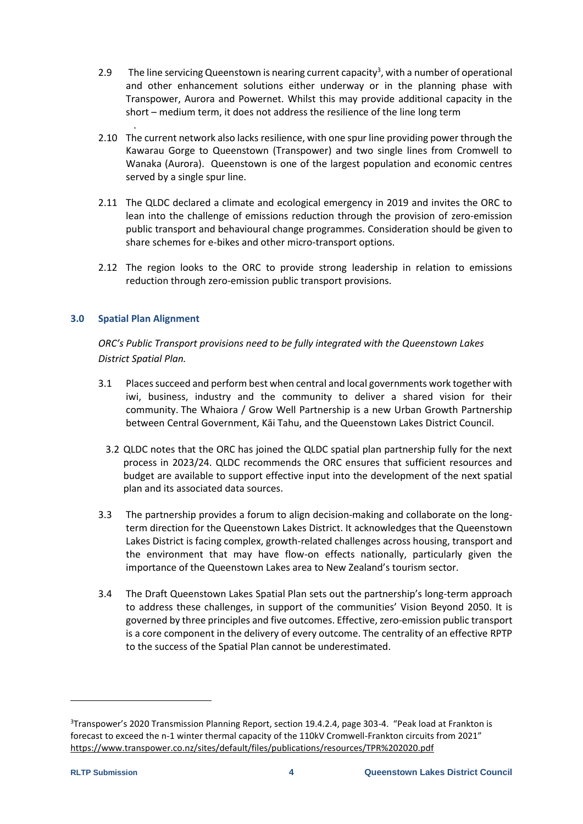- 2.9 The line servicing Queenstown is nearing current capacity<sup>3</sup>, with a number of operational and other enhancement solutions either underway or in the planning phase with Transpower, Aurora and Powernet. Whilst this may provide additional capacity in the short – medium term, it does not address the resilience of the line long term
- 2.10 The current network also lacks resilience, with one spur line providing power through the Kawarau Gorge to Queenstown (Transpower) and two single lines from Cromwell to Wanaka (Aurora). Queenstown is one of the largest population and economic centres served by a single spur line.
- 2.11 The QLDC declared a climate and ecological emergency in 2019 and invites the ORC to lean into the challenge of emissions reduction through the provision of zero-emission public transport and behavioural change programmes. Consideration should be given to share schemes for e-bikes and other micro-transport options.
- 2.12 The region looks to the ORC to provide strong leadership in relation to emissions reduction through zero-emission public transport provisions.

# **3.0 Spatial Plan Alignment**

.

*ORC's Public Transport provisions need to be fully integrated with the Queenstown Lakes District Spatial Plan.*

- 3.1 Places succeed and perform best when central and local governments work together with iwi, business, industry and the community to deliver a shared vision for their community. The Whaiora / Grow Well Partnership is a new Urban Growth Partnership between Central Government, Kāi Tahu, and the Queenstown Lakes District Council.
	- 3.2 QLDC notes that the ORC has joined the QLDC spatial plan partnership fully for the next process in 2023/24. QLDC recommends the ORC ensures that sufficient resources and budget are available to support effective input into the development of the next spatial plan and its associated data sources.
- 3.3 The partnership provides a forum to align decision-making and collaborate on the longterm direction for the Queenstown Lakes District. It acknowledges that the Queenstown Lakes District is facing complex, growth-related challenges across housing, transport and the environment that may have flow-on effects nationally, particularly given the importance of the Queenstown Lakes area to New Zealand's tourism sector.
- 3.4 The Draft Queenstown Lakes Spatial Plan sets out the partnership's long-term approach to address these challenges, in support of the communities' Vision Beyond 2050. It is governed by three principles and five outcomes. Effective, zero-emission public transport is a core component in the delivery of every outcome. The centrality of an effective RPTP to the success of the Spatial Plan cannot be underestimated.

<sup>3</sup>Transpower's 2020 Transmission Planning Report, section 19.4.2.4, page 303-4. "Peak load at Frankton is forecast to exceed the n-1 winter thermal capacity of the 110kV Cromwell-Frankton circuits from 2021" <https://www.transpower.co.nz/sites/default/files/publications/resources/TPR%202020.pdf>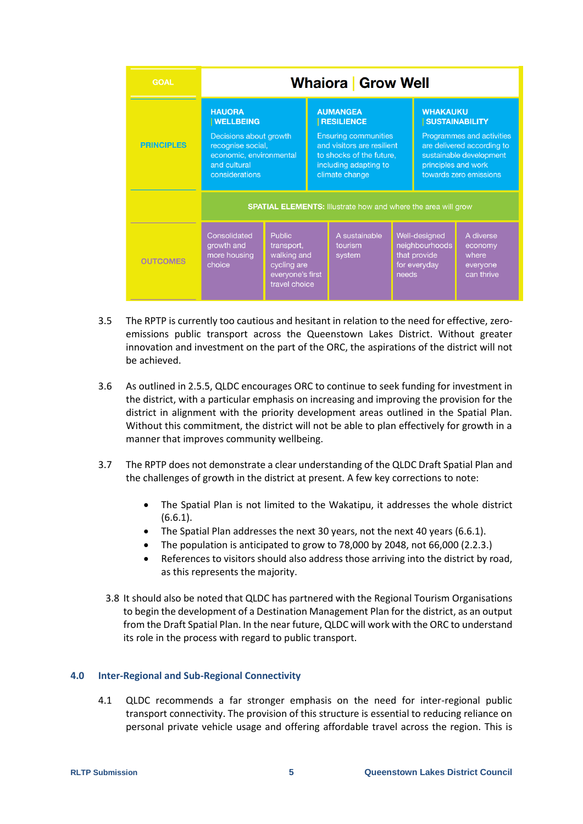| <b>GOAL</b>       | <b>Whaiora</b> Grow Well                                                                                                                      |                                                                                                |                                                                                                                                                                          |                                    |                                                                          |                                                                                                                                                                                 |                                                         |
|-------------------|-----------------------------------------------------------------------------------------------------------------------------------------------|------------------------------------------------------------------------------------------------|--------------------------------------------------------------------------------------------------------------------------------------------------------------------------|------------------------------------|--------------------------------------------------------------------------|---------------------------------------------------------------------------------------------------------------------------------------------------------------------------------|---------------------------------------------------------|
| <b>PRINCIPLES</b> | <b>HAUORA</b><br><b>WELLBEING</b><br>Decisions about growth<br>recognise social,<br>economic, environmental<br>and cultural<br>considerations |                                                                                                | <b>AUMANGEA</b><br><b>RESILIENCE</b><br><b>Ensuring communities</b><br>and visitors are resilient<br>to shocks of the future.<br>including adapting to<br>climate change |                                    |                                                                          | <b>WHAKAUKU</b><br><b>SUSTAINABILITY</b><br>Programmes and activities<br>are delivered according to<br>sustainable development<br>principles and work<br>towards zero emissions |                                                         |
|                   | <b>SPATIAL ELEMENTS: Illustrate how and where the area will grow</b>                                                                          |                                                                                                |                                                                                                                                                                          |                                    |                                                                          |                                                                                                                                                                                 |                                                         |
| <b>OUTCOMES</b>   | Consolidated<br>growth and<br>more housing<br>choice                                                                                          | <b>Public</b><br>transport,<br>walking and<br>cycling are<br>everyone's first<br>travel choice |                                                                                                                                                                          | A sustainable<br>tourism<br>system | Well-designed<br>neighbourhoods<br>that provide<br>for everyday<br>needs |                                                                                                                                                                                 | A diverse<br>economy<br>where<br>everyone<br>can thrive |

- 3.5 The RPTP is currently too cautious and hesitant in relation to the need for effective, zeroemissions public transport across the Queenstown Lakes District. Without greater innovation and investment on the part of the ORC, the aspirations of the district will not be achieved.
- 3.6 As outlined in 2.5.5, QLDC encourages ORC to continue to seek funding for investment in the district, with a particular emphasis on increasing and improving the provision for the district in alignment with the priority development areas outlined in the Spatial Plan. Without this commitment, the district will not be able to plan effectively for growth in a manner that improves community wellbeing.
- 3.7 The RPTP does not demonstrate a clear understanding of the QLDC Draft Spatial Plan and the challenges of growth in the district at present. A few key corrections to note:
	- The Spatial Plan is not limited to the Wakatipu, it addresses the whole district (6.6.1).
	- The Spatial Plan addresses the next 30 years, not the next 40 years (6.6.1).
	- The population is anticipated to grow to 78,000 by 2048, not 66,000 (2.2.3.)
	- References to visitors should also address those arriving into the district by road, as this represents the majority.
	- 3.8 It should also be noted that QLDC has partnered with the Regional Tourism Organisations to begin the development of a Destination Management Plan for the district, as an output from the Draft Spatial Plan. In the near future, QLDC will work with the ORC to understand its role in the process with regard to public transport.

### **4.0 Inter-Regional and Sub-Regional Connectivity**

4.1 QLDC recommends a far stronger emphasis on the need for inter-regional public transport connectivity. The provision of this structure is essential to reducing reliance on personal private vehicle usage and offering affordable travel across the region. This is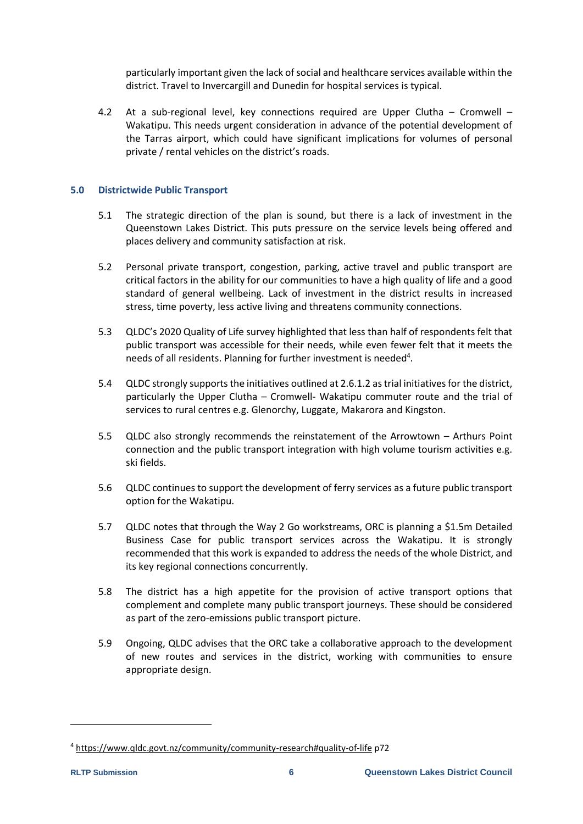particularly important given the lack of social and healthcare services available within the district. Travel to Invercargill and Dunedin for hospital services is typical.

4.2 At a sub-regional level, key connections required are Upper Clutha – Cromwell – Wakatipu. This needs urgent consideration in advance of the potential development of the Tarras airport, which could have significant implications for volumes of personal private / rental vehicles on the district's roads.

### **5.0 Districtwide Public Transport**

- 5.1 The strategic direction of the plan is sound, but there is a lack of investment in the Queenstown Lakes District. This puts pressure on the service levels being offered and places delivery and community satisfaction at risk.
- 5.2 Personal private transport, congestion, parking, active travel and public transport are critical factors in the ability for our communities to have a high quality of life and a good standard of general wellbeing. Lack of investment in the district results in increased stress, time poverty, less active living and threatens community connections.
- 5.3 QLDC's 2020 Quality of Life survey highlighted that less than half of respondents felt that public transport was accessible for their needs, while even fewer felt that it meets the needs of all residents. Planning for further investment is needed<sup>4</sup>.
- 5.4 QLDC strongly supports the initiatives outlined at 2.6.1.2 as trial initiatives for the district, particularly the Upper Clutha – Cromwell- Wakatipu commuter route and the trial of services to rural centres e.g. Glenorchy, Luggate, Makarora and Kingston.
- 5.5 QLDC also strongly recommends the reinstatement of the Arrowtown Arthurs Point connection and the public transport integration with high volume tourism activities e.g. ski fields.
- 5.6 QLDC continues to support the development of ferry services as a future public transport option for the Wakatipu.
- 5.7 QLDC notes that through the Way 2 Go workstreams, ORC is planning a \$1.5m Detailed Business Case for public transport services across the Wakatipu. It is strongly recommended that this work is expanded to address the needs of the whole District, and its key regional connections concurrently.
- 5.8 The district has a high appetite for the provision of active transport options that complement and complete many public transport journeys. These should be considered as part of the zero-emissions public transport picture.
- 5.9 Ongoing, QLDC advises that the ORC take a collaborative approach to the development of new routes and services in the district, working with communities to ensure appropriate design.

<sup>4</sup> <https://www.qldc.govt.nz/community/community-research#quality-of-life> p72